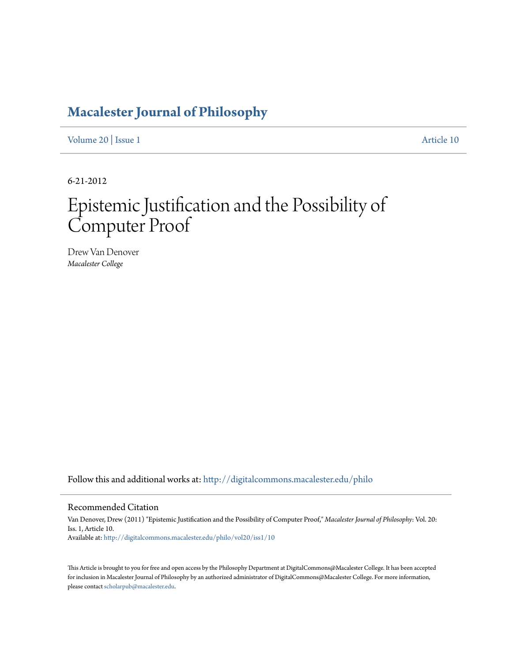# **[Macalester Journal of Philosophy](http://digitalcommons.macalester.edu/philo?utm_source=digitalcommons.macalester.edu%2Fphilo%2Fvol20%2Fiss1%2F10&utm_medium=PDF&utm_campaign=PDFCoverPages)**

[Volume 20](http://digitalcommons.macalester.edu/philo/vol20?utm_source=digitalcommons.macalester.edu%2Fphilo%2Fvol20%2Fiss1%2F10&utm_medium=PDF&utm_campaign=PDFCoverPages) | [Issue 1](http://digitalcommons.macalester.edu/philo/vol20/iss1?utm_source=digitalcommons.macalester.edu%2Fphilo%2Fvol20%2Fiss1%2F10&utm_medium=PDF&utm_campaign=PDFCoverPages) [Article 10](http://digitalcommons.macalester.edu/philo/vol20/iss1/10?utm_source=digitalcommons.macalester.edu%2Fphilo%2Fvol20%2Fiss1%2F10&utm_medium=PDF&utm_campaign=PDFCoverPages)

6-21-2012

# Epistemic Justification and the Possibility of Computer Proof

Drew Van Denover *Macalester College*

Follow this and additional works at: [http://digitalcommons.macalester.edu/philo](http://digitalcommons.macalester.edu/philo?utm_source=digitalcommons.macalester.edu%2Fphilo%2Fvol20%2Fiss1%2F10&utm_medium=PDF&utm_campaign=PDFCoverPages)

#### Recommended Citation

Van Denover, Drew (2011) "Epistemic Justification and the Possibility of Computer Proof," *Macalester Journal of Philosophy*: Vol. 20: Iss. 1, Article 10. Available at: [http://digitalcommons.macalester.edu/philo/vol20/iss1/10](http://digitalcommons.macalester.edu/philo/vol20/iss1/10?utm_source=digitalcommons.macalester.edu%2Fphilo%2Fvol20%2Fiss1%2F10&utm_medium=PDF&utm_campaign=PDFCoverPages)

This Article is brought to you for free and open access by the Philosophy Department at DigitalCommons@Macalester College. It has been accepted for inclusion in Macalester Journal of Philosophy by an authorized administrator of DigitalCommons@Macalester College. For more information, please contact [scholarpub@macalester.edu.](mailto:scholarpub@macalester.edu)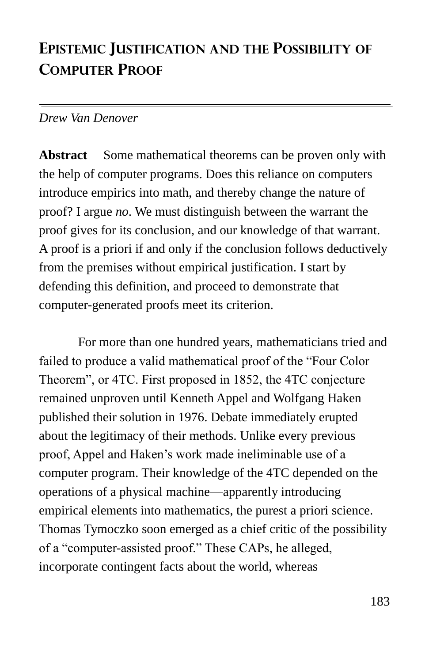## **EPISTEMIC JUSTIFICATION AND THE POSSIBILITY OF COMPUTER PROOF**

#### *Drew Van Denover*

**Abstract** Some mathematical theorems can be proven only with the help of computer programs. Does this reliance on computers introduce empirics into math, and thereby change the nature of proof? I argue *no*. We must distinguish between the warrant the proof gives for its conclusion, and our knowledge of that warrant. A proof is a priori if and only if the conclusion follows deductively from the premises without empirical justification. I start by defending this definition, and proceed to demonstrate that computer-generated proofs meet its criterion.

For more than one hundred years, mathematicians tried and failed to produce a valid mathematical proof of the "Four Color" Theorem", or 4TC. First proposed in 1852, the 4TC conjecture remained unproven until Kenneth Appel and Wolfgang Haken published their solution in 1976. Debate immediately erupted about the legitimacy of their methods. Unlike every previous proof, Appel and Haken's work made ineliminable use of a computer program. Their knowledge of the 4TC depended on the operations of a physical machine—apparently introducing empirical elements into mathematics, the purest a priori science. Thomas Tymoczko soon emerged as a chief critic of the possibility of a "computer-assisted proof." These CAPs, he alleged, incorporate contingent facts about the world, whereas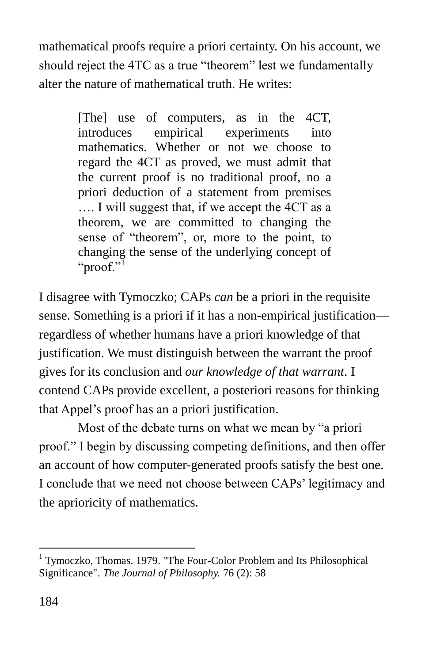mathematical proofs require a priori certainty. On his account, we should reject the 4TC as a true "theorem" lest we fundamentally alter the nature of mathematical truth. He writes:

> [The] use of computers, as in the 4CT, introduces empirical experiments into mathematics. Whether or not we choose to regard the 4CT as proved, we must admit that the current proof is no traditional proof, no a priori deduction of a statement from premises …. I will suggest that, if we accept the 4CT as a theorem, we are committed to changing the sense of "theorem", or, more to the point, to changing the sense of the underlying concept of "proof."

I disagree with Tymoczko; CAPs *can* be a priori in the requisite sense. Something is a priori if it has a non-empirical justification regardless of whether humans have a priori knowledge of that justification. We must distinguish between the warrant the proof gives for its conclusion and *our knowledge of that warrant*. I contend CAPs provide excellent, a posteriori reasons for thinking that Appel's proof has an a priori justification.

Most of the debate turns on what we mean by "a priori proof.‖ I begin by discussing competing definitions, and then offer an account of how computer-generated proofs satisfy the best one. I conclude that we need not choose between CAPs' legitimacy and the aprioricity of mathematics.

<sup>&</sup>lt;sup>1</sup> Tymoczko, Thomas. 1979. "The Four-Color Problem and Its Philosophical Significance". *The Journal of Philosophy.* 76 (2): 58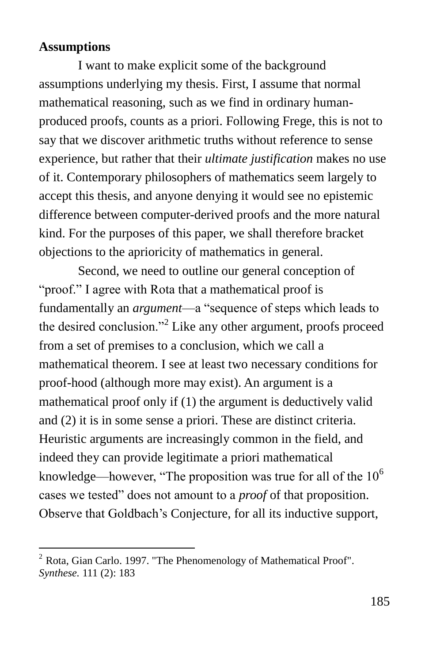#### **Assumptions**

 $\overline{a}$ 

I want to make explicit some of the background assumptions underlying my thesis. First, I assume that normal mathematical reasoning, such as we find in ordinary humanproduced proofs, counts as a priori. Following Frege, this is not to say that we discover arithmetic truths without reference to sense experience, but rather that their *ultimate justification* makes no use of it. Contemporary philosophers of mathematics seem largely to accept this thesis, and anyone denying it would see no epistemic difference between computer-derived proofs and the more natural kind. For the purposes of this paper, we shall therefore bracket objections to the aprioricity of mathematics in general.

Second, we need to outline our general conception of "proof." I agree with Rota that a mathematical proof is fundamentally an *argument*—a "sequence of steps which leads to the desired conclusion."<sup>2</sup> Like any other argument, proofs proceed from a set of premises to a conclusion, which we call a mathematical theorem. I see at least two necessary conditions for proof-hood (although more may exist). An argument is a mathematical proof only if (1) the argument is deductively valid and (2) it is in some sense a priori. These are distinct criteria. Heuristic arguments are increasingly common in the field, and indeed they can provide legitimate a priori mathematical knowledge—however, "The proposition was true for all of the  $10<sup>6</sup>$ cases we tested" does not amount to a *proof* of that proposition. Observe that Goldbach's Conjecture, for all its inductive support,

 $2^2$  Rota, Gian Carlo. 1997. "The Phenomenology of Mathematical Proof". *Synthese.* 111 (2): 183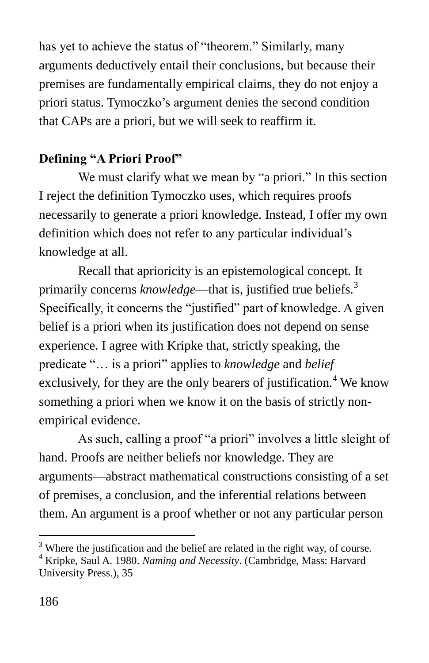has yet to achieve the status of "theorem." Similarly, many arguments deductively entail their conclusions, but because their premises are fundamentally empirical claims, they do not enjoy a priori status. Tymoczko's argument denies the second condition that CAPs are a priori, but we will seek to reaffirm it.

### **Defining "A Priori Proof"**

We must clarify what we mean by "a priori." In this section I reject the definition Tymoczko uses, which requires proofs necessarily to generate a priori knowledge. Instead, I offer my own definition which does not refer to any particular individual's knowledge at all.

Recall that aprioricity is an epistemological concept. It primarily concerns *knowledge*—that is, justified true beliefs.<sup>3</sup> Specifically, it concerns the "justified" part of knowledge. A given belief is a priori when its justification does not depend on sense experience. I agree with Kripke that, strictly speaking, the predicate "... is a priori" applies to *knowledge* and *belief* exclusively, for they are the only bearers of justification.<sup>4</sup> We know something a priori when we know it on the basis of strictly nonempirical evidence.

As such, calling a proof "a priori" involves a little sleight of hand. Proofs are neither beliefs nor knowledge. They are arguments—abstract mathematical constructions consisting of a set of premises, a conclusion, and the inferential relations between them. An argument is a proof whether or not any particular person

 $3$  Where the justification and the belief are related in the right way, of course.

<sup>4</sup> Kripke, Saul A. 1980. *Naming and Necessity*. (Cambridge, Mass: Harvard University Press.), 35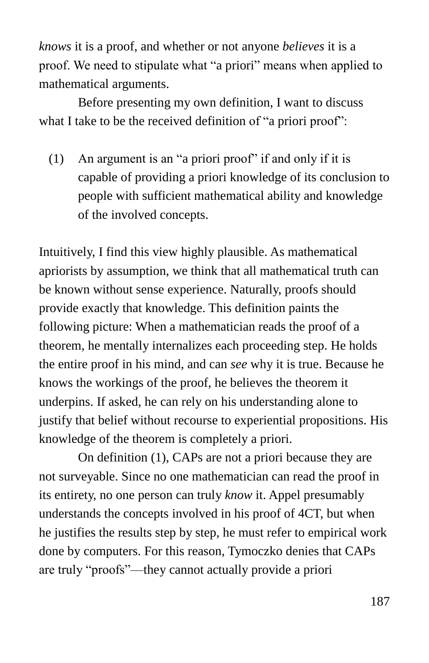*knows* it is a proof, and whether or not anyone *believes* it is a proof. We need to stipulate what "a priori" means when applied to mathematical arguments.

Before presenting my own definition, I want to discuss what I take to be the received definition of "a priori proof":

(1) An argument is an "a priori proof" if and only if it is capable of providing a priori knowledge of its conclusion to people with sufficient mathematical ability and knowledge of the involved concepts.

Intuitively, I find this view highly plausible. As mathematical apriorists by assumption, we think that all mathematical truth can be known without sense experience. Naturally, proofs should provide exactly that knowledge. This definition paints the following picture: When a mathematician reads the proof of a theorem, he mentally internalizes each proceeding step. He holds the entire proof in his mind, and can *see* why it is true. Because he knows the workings of the proof, he believes the theorem it underpins. If asked, he can rely on his understanding alone to justify that belief without recourse to experiential propositions. His knowledge of the theorem is completely a priori.

On definition (1), CAPs are not a priori because they are not surveyable. Since no one mathematician can read the proof in its entirety, no one person can truly *know* it. Appel presumably understands the concepts involved in his proof of 4CT, but when he justifies the results step by step, he must refer to empirical work done by computers. For this reason, Tymoczko denies that CAPs are truly "proofs"—they cannot actually provide a priori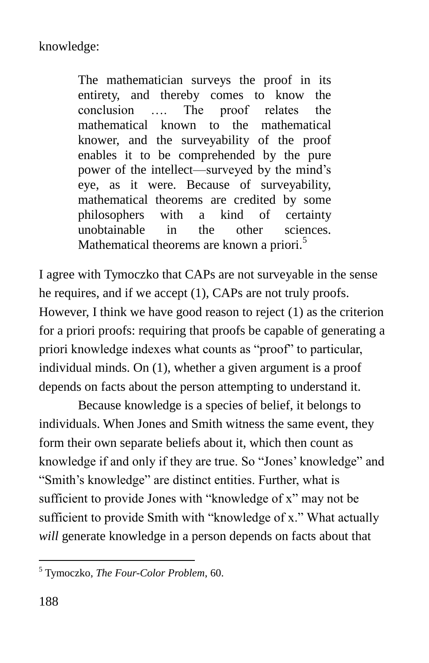The mathematician surveys the proof in its entirety, and thereby comes to know the conclusion …. The proof relates the mathematical known to the mathematical knower, and the surveyability of the proof enables it to be comprehended by the pure power of the intellect—surveyed by the mind's eye, as it were. Because of surveyability, mathematical theorems are credited by some philosophers with a kind of certainty unobtainable in the other sciences. Mathematical theorems are known a priori.<sup>5</sup>

I agree with Tymoczko that CAPs are not surveyable in the sense he requires, and if we accept (1), CAPs are not truly proofs. However, I think we have good reason to reject (1) as the criterion for a priori proofs: requiring that proofs be capable of generating a priori knowledge indexes what counts as "proof" to particular, individual minds. On (1), whether a given argument is a proof depends on facts about the person attempting to understand it.

Because knowledge is a species of belief, it belongs to individuals. When Jones and Smith witness the same event, they form their own separate beliefs about it, which then count as knowledge if and only if they are true. So "Jones' knowledge" and "Smith's knowledge" are distinct entities. Further, what is sufficient to provide Jones with "knowledge of x" may not be sufficient to provide Smith with "knowledge of x." What actually *will* generate knowledge in a person depends on facts about that

<sup>5</sup> Tymoczko, *The Four-Color Problem*, 60.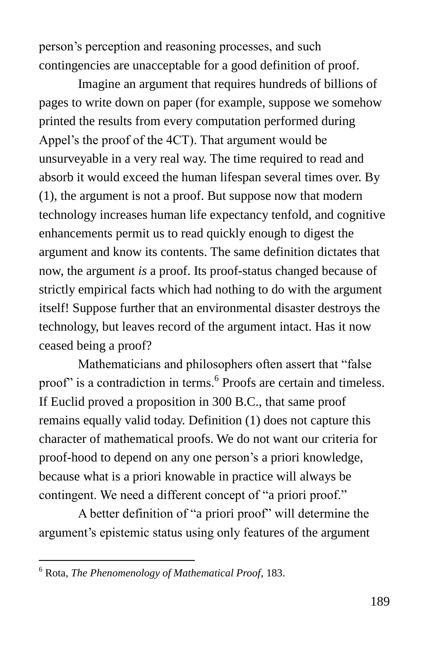person's perception and reasoning processes, and such contingencies are unacceptable for a good definition of proof.

Imagine an argument that requires hundreds of billions of pages to write down on paper (for example, suppose we somehow printed the results from every computation performed during Appel's the proof of the 4CT). That argument would be unsurveyable in a very real way. The time required to read and absorb it would exceed the human lifespan several times over. By (1), the argument is not a proof. But suppose now that modern technology increases human life expectancy tenfold, and cognitive enhancements permit us to read quickly enough to digest the argument and know its contents. The same definition dictates that now, the argument *is* a proof. Its proof-status changed because of strictly empirical facts which had nothing to do with the argument itself! Suppose further that an environmental disaster destroys the technology, but leaves record of the argument intact. Has it now ceased being a proof?

Mathematicians and philosophers often assert that "false" proof" is a contradiction in terms.<sup>6</sup> Proofs are certain and timeless. If Euclid proved a proposition in 300 B.C., that same proof remains equally valid today. Definition (1) does not capture this character of mathematical proofs. We do not want our criteria for proof-hood to depend on any one person's a priori knowledge, because what is a priori knowable in practice will always be contingent. We need a different concept of "a priori proof."

A better definition of "a priori proof" will determine the argument's epistemic status using only features of the argument

<sup>6</sup> Rota, *The Phenomenology of Mathematical Proof*, 183.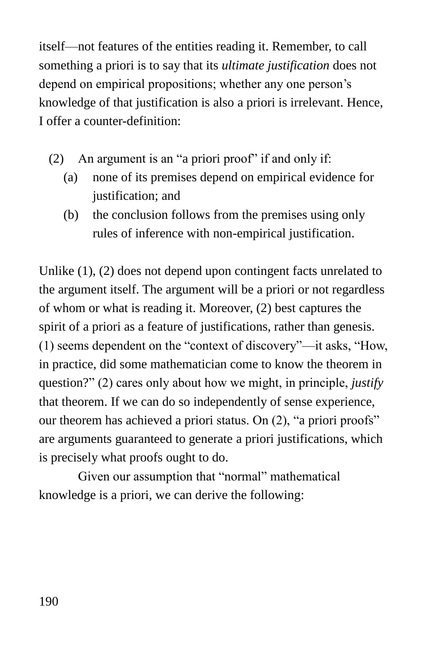itself—not features of the entities reading it. Remember, to call something a priori is to say that its *ultimate justification* does not depend on empirical propositions; whether any one person's knowledge of that justification is also a priori is irrelevant. Hence, I offer a counter-definition:

- (2) An argument is an "a priori proof" if and only if:
	- (a) none of its premises depend on empirical evidence for justification; and
	- (b) the conclusion follows from the premises using only rules of inference with non-empirical justification.

Unlike (1), (2) does not depend upon contingent facts unrelated to the argument itself. The argument will be a priori or not regardless of whom or what is reading it. Moreover, (2) best captures the spirit of a priori as a feature of justifications, rather than genesis.  $(1)$  seems dependent on the "context of discovery"—it asks, "How, in practice, did some mathematician come to know the theorem in question?" (2) cares only about how we might, in principle, *justify* that theorem. If we can do so independently of sense experience, our theorem has achieved a priori status. On  $(2)$ , "a priori proofs" are arguments guaranteed to generate a priori justifications, which is precisely what proofs ought to do.

Given our assumption that "normal" mathematical knowledge is a priori, we can derive the following: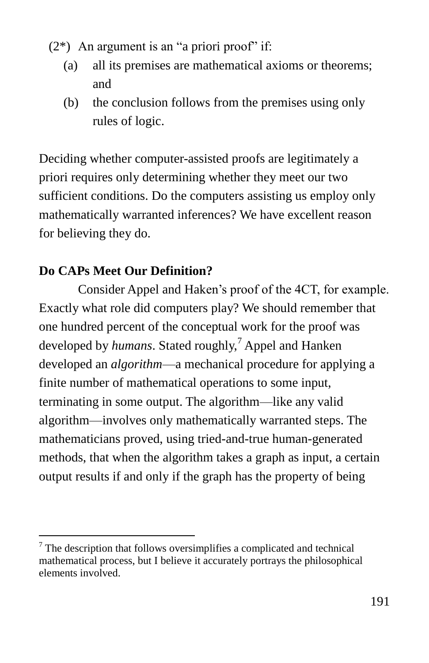- $(2^*)$  An argument is an "a priori proof" if:
	- (a) all its premises are mathematical axioms or theorems; and
	- (b) the conclusion follows from the premises using only rules of logic.

Deciding whether computer-assisted proofs are legitimately a priori requires only determining whether they meet our two sufficient conditions. Do the computers assisting us employ only mathematically warranted inferences? We have excellent reason for believing they do.

## **Do CAPs Meet Our Definition?**

 $\overline{a}$ 

Consider Appel and Haken's proof of the 4CT, for example. Exactly what role did computers play? We should remember that one hundred percent of the conceptual work for the proof was developed by *humans*. Stated roughly,<sup>7</sup> Appel and Hanken developed an *algorithm*—a mechanical procedure for applying a finite number of mathematical operations to some input, terminating in some output. The algorithm—like any valid algorithm—involves only mathematically warranted steps. The mathematicians proved, using tried-and-true human-generated methods, that when the algorithm takes a graph as input, a certain output results if and only if the graph has the property of being

 $7$  The description that follows oversimplifies a complicated and technical mathematical process, but I believe it accurately portrays the philosophical elements involved.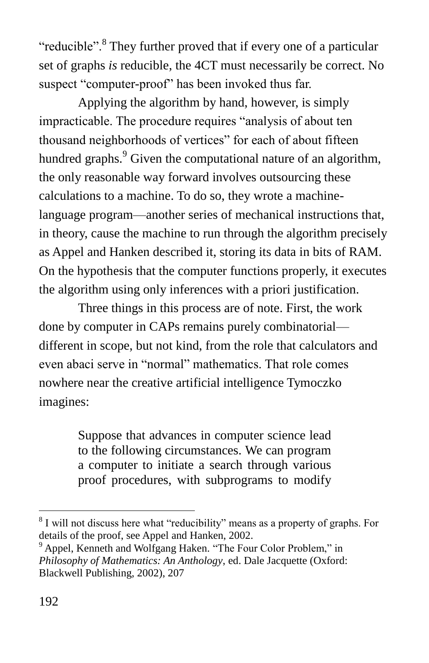"reducible".<sup>8</sup> They further proved that if every one of a particular set of graphs *is* reducible, the 4CT must necessarily be correct. No suspect "computer-proof" has been invoked thus far.

Applying the algorithm by hand, however, is simply impracticable. The procedure requires "analysis of about ten thousand neighborhoods of vertices" for each of about fifteen hundred graphs.<sup>9</sup> Given the computational nature of an algorithm, the only reasonable way forward involves outsourcing these calculations to a machine. To do so, they wrote a machinelanguage program—another series of mechanical instructions that, in theory, cause the machine to run through the algorithm precisely as Appel and Hanken described it, storing its data in bits of RAM. On the hypothesis that the computer functions properly, it executes the algorithm using only inferences with a priori justification.

Three things in this process are of note. First, the work done by computer in CAPs remains purely combinatorial different in scope, but not kind, from the role that calculators and even abaci serve in "normal" mathematics. That role comes nowhere near the creative artificial intelligence Tymoczko imagines:

> Suppose that advances in computer science lead to the following circumstances. We can program a computer to initiate a search through various proof procedures, with subprograms to modify

 $8$  I will not discuss here what "reducibility" means as a property of graphs. For details of the proof, see Appel and Hanken, 2002.

<sup>&</sup>lt;sup>9</sup> Appel, Kenneth and Wolfgang Haken. "The Four Color Problem," in *Philosophy of Mathematics: An Anthology*, ed. Dale Jacquette (Oxford: Blackwell Publishing, 2002), 207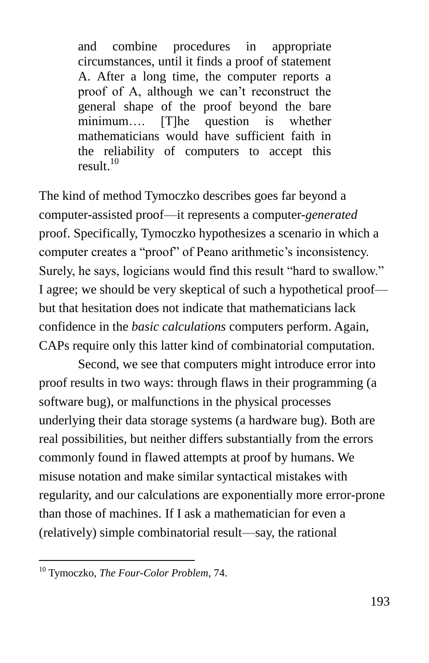and combine procedures in appropriate circumstances, until it finds a proof of statement A. After a long time, the computer reports a proof of A, although we can't reconstruct the general shape of the proof beyond the bare minimum…. [T]he question is whether mathematicians would have sufficient faith in the reliability of computers to accept this result. 10

The kind of method Tymoczko describes goes far beyond a computer-assisted proof—it represents a computer-*generated* proof. Specifically, Tymoczko hypothesizes a scenario in which a computer creates a "proof" of Peano arithmetic's inconsistency. Surely, he says, logicians would find this result "hard to swallow." I agree; we should be very skeptical of such a hypothetical proof but that hesitation does not indicate that mathematicians lack confidence in the *basic calculations* computers perform. Again, CAPs require only this latter kind of combinatorial computation.

Second, we see that computers might introduce error into proof results in two ways: through flaws in their programming (a software bug), or malfunctions in the physical processes underlying their data storage systems (a hardware bug). Both are real possibilities, but neither differs substantially from the errors commonly found in flawed attempts at proof by humans. We misuse notation and make similar syntactical mistakes with regularity, and our calculations are exponentially more error-prone than those of machines. If I ask a mathematician for even a (relatively) simple combinatorial result—say, the rational

<sup>10</sup> Tymoczko, *The Four-Color Problem*, 74.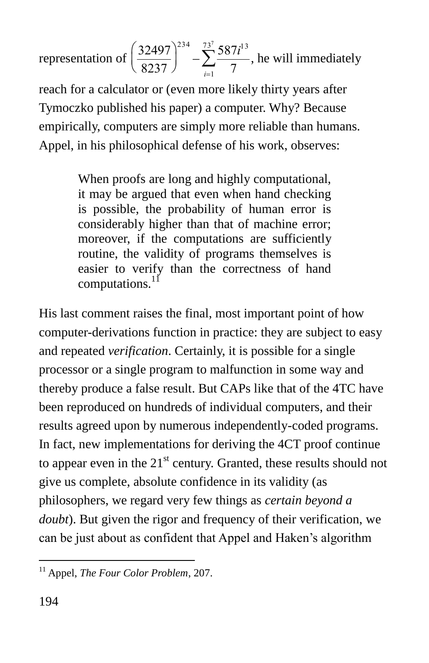representation of  $\frac{32497}{2225}$ 8237  $\left(\frac{32497}{8237}\right)^2$ 234  $-\sum_{i=1}^{73^{\prime}}\frac{587i^{13}}{2}$  $\sum_{i=1}$  7  $\sum_{1}^{73^{7}} \frac{587i^{13}}{7}$ , he will immediately

 empirically, computers are simply more reliable than humans. reach for a calculator or (even more likely thirty years after Tymoczko published his paper) a computer. Why? Because Appel, in his philosophical defense of his work, observes:

> When proofs are long and highly computational, it may be argued that even when hand checking is possible, the probability of human error is considerably higher than that of machine error; moreover, if the computations are sufficiently routine, the validity of programs themselves is easier to verify than the correctness of hand computations.<sup>11</sup>

His last comment raises the final, most important point of how computer-derivations function in practice: they are subject to easy and repeated *verification*. Certainly, it is possible for a single processor or a single program to malfunction in some way and thereby produce a false result. But CAPs like that of the 4TC have been reproduced on hundreds of individual computers, and their results agreed upon by numerous independently-coded programs. In fact, new implementations for deriving the 4CT proof continue to appear even in the  $21<sup>st</sup>$  century. Granted, these results should not give us complete, absolute confidence in its validity (as philosophers, we regard very few things as *certain beyond a doubt*). But given the rigor and frequency of their verification, we can be just about as confident that Appel and Haken's algorithm

<sup>11</sup> Appel, *The Four Color Problem*, 207.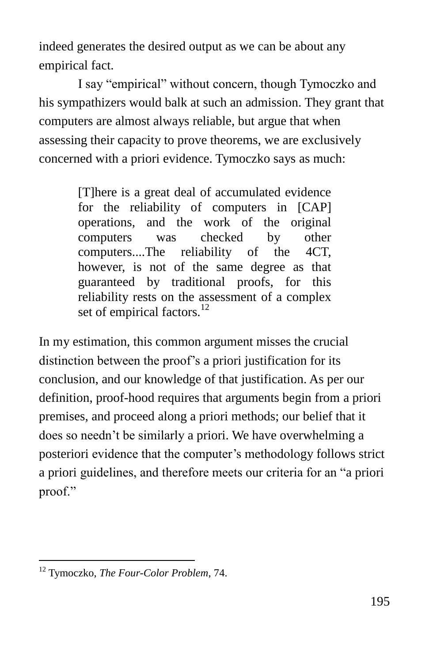indeed generates the desired output as we can be about any empirical fact.

I say "empirical" without concern, though Tymoczko and his sympathizers would balk at such an admission. They grant that computers are almost always reliable, but argue that when assessing their capacity to prove theorems, we are exclusively concerned with a priori evidence. Tymoczko says as much:

> [T]here is a great deal of accumulated evidence for the reliability of computers in [CAP] operations, and the work of the original computers was checked by other computers....The reliability of the 4CT, however, is not of the same degree as that guaranteed by traditional proofs, for this reliability rests on the assessment of a complex set of empirical factors. $12$

In my estimation, this common argument misses the crucial distinction between the proof's a priori justification for its conclusion, and our knowledge of that justification. As per our definition, proof-hood requires that arguments begin from a priori premises, and proceed along a priori methods; our belief that it does so needn't be similarly a priori. We have overwhelming a posteriori evidence that the computer's methodology follows strict a priori guidelines, and therefore meets our criteria for an "a priori proof."

<sup>12</sup> Tymoczko, *The Four-Color Problem*, 74.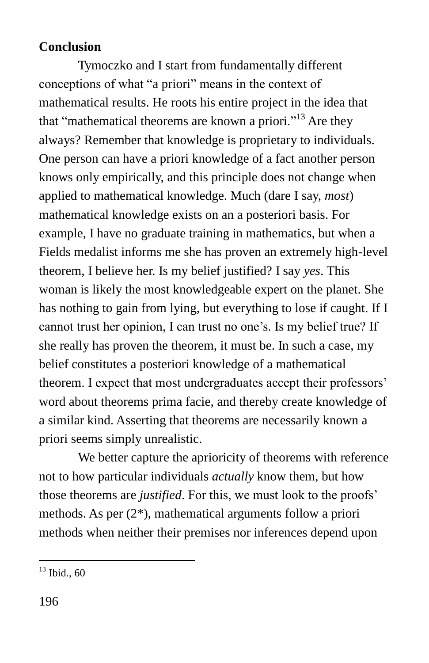#### **Conclusion**

Tymoczko and I start from fundamentally different conceptions of what "a priori" means in the context of mathematical results. He roots his entire project in the idea that that "mathematical theorems are known a priori."<sup>13</sup> Are they always? Remember that knowledge is proprietary to individuals. One person can have a priori knowledge of a fact another person knows only empirically, and this principle does not change when applied to mathematical knowledge. Much (dare I say, *most*) mathematical knowledge exists on an a posteriori basis. For example, I have no graduate training in mathematics, but when a Fields medalist informs me she has proven an extremely high-level theorem, I believe her. Is my belief justified? I say *yes*. This woman is likely the most knowledgeable expert on the planet. She has nothing to gain from lying, but everything to lose if caught. If I cannot trust her opinion, I can trust no one's. Is my belief true? If she really has proven the theorem, it must be. In such a case, my belief constitutes a posteriori knowledge of a mathematical theorem. I expect that most undergraduates accept their professors' word about theorems prima facie, and thereby create knowledge of a similar kind. Asserting that theorems are necessarily known a priori seems simply unrealistic.

We better capture the aprioricity of theorems with reference not to how particular individuals *actually* know them, but how those theorems are *justified*. For this, we must look to the proofs' methods. As per (2\*), mathematical arguments follow a priori methods when neither their premises nor inferences depend upon

 $\overline{a}$  $13$  Ibid., 60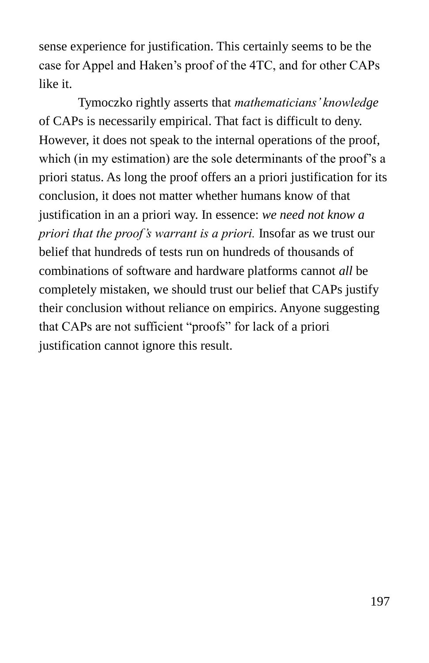sense experience for justification. This certainly seems to be the case for Appel and Haken's proof of the 4TC, and for other CAPs like it.

Tymoczko rightly asserts that *mathematicians' knowledge* of CAPs is necessarily empirical. That fact is difficult to deny. However, it does not speak to the internal operations of the proof, which (in my estimation) are the sole determinants of the proof's a priori status. As long the proof offers an a priori justification for its conclusion, it does not matter whether humans know of that justification in an a priori way. In essence: *we need not know a priori that the proof's warrant is a priori.* Insofar as we trust our belief that hundreds of tests run on hundreds of thousands of combinations of software and hardware platforms cannot *all* be completely mistaken, we should trust our belief that CAPs justify their conclusion without reliance on empirics. Anyone suggesting that CAPs are not sufficient "proofs" for lack of a priori justification cannot ignore this result.